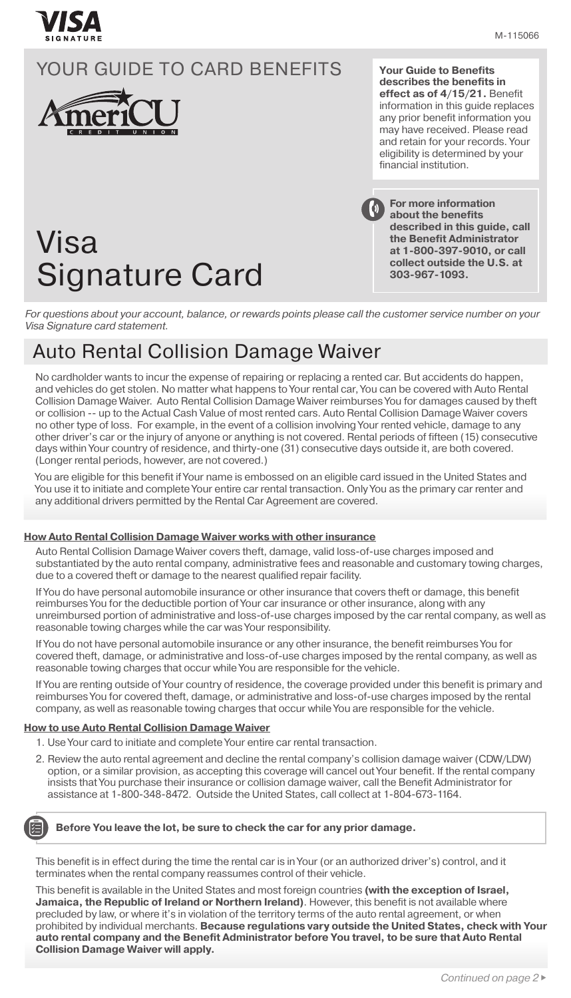

**Your Guide to Benefits describes the benefits in effect as of 4/15/21.** Benefit information in this guide replaces any prior benefit information you may have received. Please read and retain for your records. Your eligibility is determined by your financial institution.

# Visa Signature Card

**For more information about the benefits described in this guide, call the Benefit Administrator at 1-800-397-9010, or call collect outside the U.S. at 303-967-1093.**

*For questions about your account, balance, or rewards points please call the customer service number on your Visa Signature card statement.*

### Auto Rental Collision Damage Waiver

No cardholder wants to incur the expense of repairing or replacing a rented car. But accidents do happen, and vehicles do get stolen. No matter what happens to Your rental car, You can be covered with Auto Rental Collision Damage Waiver. Auto Rental Collision Damage Waiver reimburses You for damages caused by theft or collision -- up to the Actual Cash Value of most rented cars. Auto Rental Collision Damage Waiver covers no other type of loss. For example, in the event of a collision involving Your rented vehicle, damage to any other driver's car or the injury of anyone or anything is not covered. Rental periods of fifteen (15) consecutive days within Your country of residence, and thirty-one (31) consecutive days outside it, are both covered. (Longer rental periods, however, are not covered.)

You are eligible for this benefit if Your name is embossed on an eligible card issued in the United States and You use it to initiate and complete Your entire car rental transaction. Only You as the primary car renter and any additional drivers permitted by the Rental Car Agreement are covered.

#### **How Auto Rental Collision Damage Waiver works with other insurance**

Auto Rental Collision Damage Waiver covers theft, damage, valid loss-of-use charges imposed and substantiated by the auto rental company, administrative fees and reasonable and customary towing charges, due to a covered theft or damage to the nearest qualified repair facility.

If You do have personal automobile insurance or other insurance that covers theft or damage, this benefit reimburses You for the deductible portion of Your car insurance or other insurance, along with any unreimbursed portion of administrative and loss-of-use charges imposed by the car rental company, as well as reasonable towing charges while the car was Your responsibility.

If You do not have personal automobile insurance or any other insurance, the benefit reimburses You for covered theft, damage, or administrative and loss-of-use charges imposed by the rental company, as well as reasonable towing charges that occur while You are responsible for the vehicle.

If You are renting outside of Your country of residence, the coverage provided under this benefit is primary and reimburses You for covered theft, damage, or administrative and loss-of-use charges imposed by the rental company, as well as reasonable towing charges that occur while You are responsible for the vehicle.

#### **How to use Auto Rental Collision Damage Waiver**

- 1. Use Your card to initiate and complete Your entire car rental transaction.
- 2. Review the auto rental agreement and decline the rental company's collision damage waiver (CDW/LDW) option, or a similar provision, as accepting this coverage will cancel out Your benefit. If the rental company insists that You purchase their insurance or collision damage waiver, call the Benefit Administrator for assistance at 1-800-348-8472. Outside the United States, call collect at 1-804-673-1164.



#### **Before You leave the lot, be sure to check the car for any prior damage.**

This benefit is in effect during the time the rental car is in Your (or an authorized driver's) control, and it terminates when the rental company reassumes control of their vehicle.

This benefit is available in the United States and most foreign countries **(with the exception of Israel, Jamaica, the Republic of Ireland or Northern Ireland)**. However, this benefit is not available where precluded by law, or where it's in violation of the territory terms of the auto rental agreement, or when prohibited by individual merchants. **Because regulations vary outside the United States, check with Your auto rental company and the Benefit Administrator before You travel, to be sure that Auto Rental Collision Damage Waiver will apply.**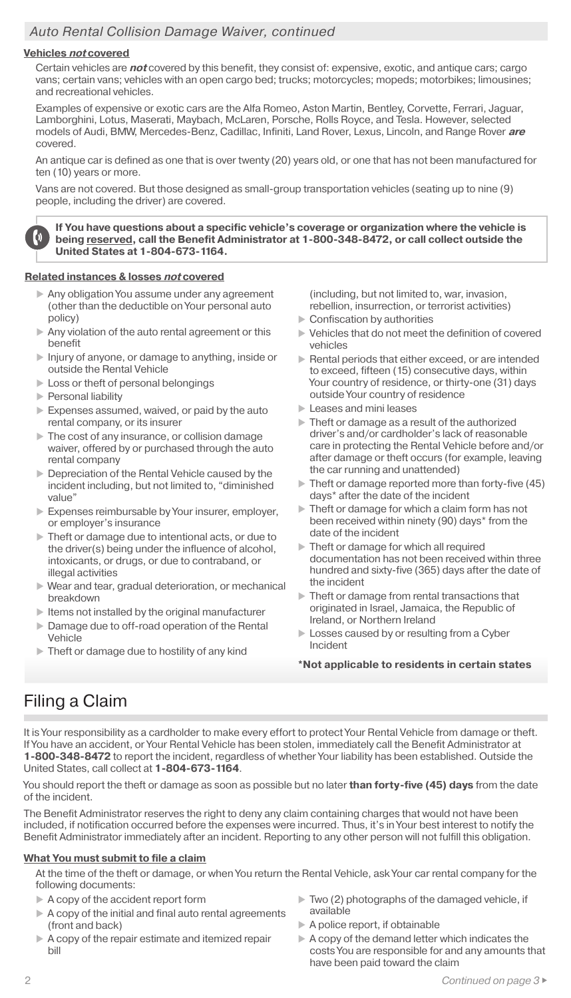#### *Auto Rental Collision Damage Waiver, continued*

#### **Vehicles not covered**

Certain vehicles are **not** covered by this benefit, they consist of: expensive, exotic, and antique cars; cargo vans; certain vans; vehicles with an open cargo bed; trucks; motorcycles; mopeds; motorbikes; limousines; and recreational vehicles.

Examples of expensive or exotic cars are the Alfa Romeo, Aston Martin, Bentley, Corvette, Ferrari, Jaguar, Lamborghini, Lotus, Maserati, Maybach, McLaren, Porsche, Rolls Royce, and Tesla. However, selected models of Audi, BMW, Mercedes-Benz, Cadillac, Infiniti, Land Rover, Lexus, Lincoln, and Range Rover **are** covered.

An antique car is defined as one that is over twenty (20) years old, or one that has not been manufactured for ten (10) years or more.

Vans are not covered. But those designed as small-group transportation vehicles (seating up to nine (9) people, including the driver) are covered.

**If You have questions about a specific vehicle's coverage or organization where the vehicle is being reserved, call the Benefit Administrator at 1-800-348-8472, or call collect outside the United States at 1-804-673-1164.**

#### **Related instances & losses not covered**

- Any obligation You assume under any agreement (other than the deductible on Your personal auto policy)
- Any violation of the auto rental agreement or this benefit
- Injury of anyone, or damage to anything, inside or outside the Rental Vehicle
- Loss or theft of personal belongings
- Personal liability

 $\boldsymbol{0}$ 

- Expenses assumed, waived, or paid by the auto rental company, or its insurer
- The cost of any insurance, or collision damage waiver, offered by or purchased through the auto rental company
- **Depreciation of the Rental Vehicle caused by the** incident including, but not limited to, "diminished value"
- Expenses reimbursable by Your insurer, employer, or employer's insurance
- Theft or damage due to intentional acts, or due to the driver(s) being under the influence of alcohol, intoxicants, or drugs, or due to contraband, or illegal activities
- Wear and tear, gradual deterioration, or mechanical breakdown
- $\blacktriangleright$  Items not installed by the original manufacturer
- Damage due to off-road operation of the Rental Vehicle
- Theft or damage due to hostility of any kind

(including, but not limited to, war, invasion, rebellion, insurrection, or terrorist activities)

- ▶ Confiscation by authorities
- Vehicles that do not meet the definition of covered vehicles
- Rental periods that either exceed, or are intended to exceed, fifteen (15) consecutive days, within Your country of residence, or thirty-one (31) days outside Your country of residence
- **Leases and mini leases**
- Theft or damage as a result of the authorized driver's and/or cardholder's lack of reasonable care in protecting the Rental Vehicle before and/or after damage or theft occurs (for example, leaving the car running and unattended)
- $\blacktriangleright$  Theft or damage reported more than forty-five (45) days\* after the date of the incident
- Theft or damage for which a claim form has not been received within ninety (90) days\* from the date of the incident
- Theft or damage for which all required documentation has not been received within three hundred and sixty-five (365) days after the date of the incident
- $\blacktriangleright$  Theft or damage from rental transactions that originated in Israel, Jamaica, the Republic of Ireland, or Northern Ireland
- **Losses caused by or resulting from a Cyber** Incident
- **\*Not applicable to residents in certain states**

### Filing a Claim

It is Your responsibility as a cardholder to make every effort to protect Your Rental Vehicle from damage or theft. If You have an accident, or Your Rental Vehicle has been stolen, immediately call the Benefit Administrator at **1-800-348-8472** to report the incident, regardless of whether Your liability has been established. Outside the United States, call collect at **1-804-673-1164**.

You should report the theft or damage as soon as possible but no later **than forty-five (45) days** from the date of the incident.

The Benefit Administrator reserves the right to deny any claim containing charges that would not have been included, if notification occurred before the expenses were incurred. Thus, it's in Your best interest to notify the Benefit Administrator immediately after an incident. Reporting to any other person will not fulfill this obligation.

#### **What You must submit to file a claim**

At the time of the theft or damage, or when You return the Rental Vehicle, ask Your car rental company for the following documents:

- A copy of the accident report form
- A copy of the initial and final auto rental agreements (front and back)
- A copy of the repair estimate and itemized repair bill
- $\triangleright$  Two (2) photographs of the damaged vehicle, if available
- $\blacktriangleright$  A police report, if obtainable
- A copy of the demand letter which indicates the costs You are responsible for and any amounts that have been paid toward the claim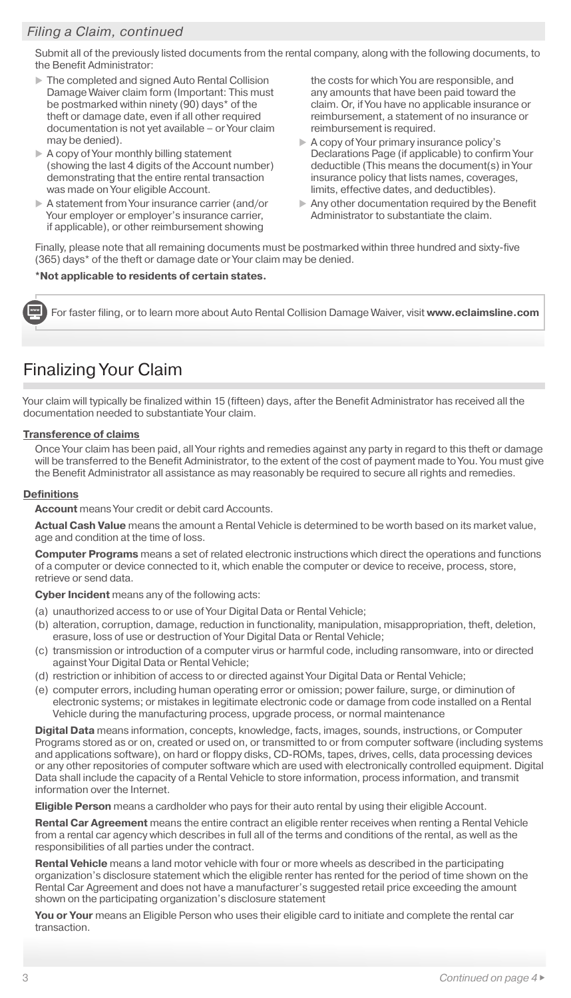#### *Filing a Claim, continued*

Submit all of the previously listed documents from the rental company, along with the following documents, to the Benefit Administrator:

- The completed and signed Auto Rental Collision Damage Waiver claim form (Important: This must be postmarked within ninety (90) days\* of the theft or damage date, even if all other required documentation is not yet available – or Your claim may be denied).
- A copy of Your monthly billing statement (showing the last 4 digits of the Account number) demonstrating that the entire rental transaction was made on Your eligible Account.
- A statement from Your insurance carrier (and/or Your employer or employer's insurance carrier, if applicable), or other reimbursement showing

the costs for which You are responsible, and any amounts that have been paid toward the claim. Or, if You have no applicable insurance or reimbursement, a statement of no insurance or reimbursement is required.

- A copy of Your primary insurance policy's Declarations Page (if applicable) to confirm Your deductible (This means the document(s) in Your insurance policy that lists names, coverages, limits, effective dates, and deductibles).
- Any other documentation required by the Benefit Administrator to substantiate the claim.

Finally, please note that all remaining documents must be postmarked within three hundred and sixty-five (365) days\* of the theft or damage date or Your claim may be denied.

#### **\*Not applicable to residents of certain states.**

For faster filing, or to learn more about Auto Rental Collision Damage Waiver, visit **www.eclaimsline.com**

### Finalizing Your Claim

Your claim will typically be finalized within 15 (fifteen) days, after the Benefit Administrator has received all the documentation needed to substantiate Your claim.

#### **Transference of claims**

Once Your claim has been paid, all Your rights and remedies against any party in regard to this theft or damage will be transferred to the Benefit Administrator, to the extent of the cost of payment made to You. You must give the Benefit Administrator all assistance as may reasonably be required to secure all rights and remedies.

#### **Definitions**

**Account** means Your credit or debit card Accounts.

**Actual Cash Value** means the amount a Rental Vehicle is determined to be worth based on its market value, age and condition at the time of loss.

**Computer Programs** means a set of related electronic instructions which direct the operations and functions of a computer or device connected to it, which enable the computer or device to receive, process, store, retrieve or send data.

**Cyber Incident** means any of the following acts:

- (a) unauthorized access to or use of Your Digital Data or Rental Vehicle;
- (b) alteration, corruption, damage, reduction in functionality, manipulation, misappropriation, theft, deletion, erasure, loss of use or destruction of Your Digital Data or Rental Vehicle;
- (c) transmission or introduction of a computer virus or harmful code, including ransomware, into or directed against Your Digital Data or Rental Vehicle;
- (d) restriction or inhibition of access to or directed against Your Digital Data or Rental Vehicle;
- (e) computer errors, including human operating error or omission; power failure, surge, or diminution of electronic systems; or mistakes in legitimate electronic code or damage from code installed on a Rental Vehicle during the manufacturing process, upgrade process, or normal maintenance

**Digital Data** means information, concepts, knowledge, facts, images, sounds, instructions, or Computer Programs stored as or on, created or used on, or transmitted to or from computer software (including systems and applications software), on hard or floppy disks, CD-ROMs, tapes, drives, cells, data processing devices or any other repositories of computer software which are used with electronically controlled equipment. Digital Data shall include the capacity of a Rental Vehicle to store information, process information, and transmit information over the Internet.

**Eligible Person** means a cardholder who pays for their auto rental by using their eligible Account.

**Rental Car Agreement** means the entire contract an eligible renter receives when renting a Rental Vehicle from a rental car agency which describes in full all of the terms and conditions of the rental, as well as the responsibilities of all parties under the contract.

**Rental Vehicle** means a land motor vehicle with four or more wheels as described in the participating organization's disclosure statement which the eligible renter has rented for the period of time shown on the Rental Car Agreement and does not have a manufacturer's suggested retail price exceeding the amount shown on the participating organization's disclosure statement

**You or Your** means an Eligible Person who uses their eligible card to initiate and complete the rental car transaction.